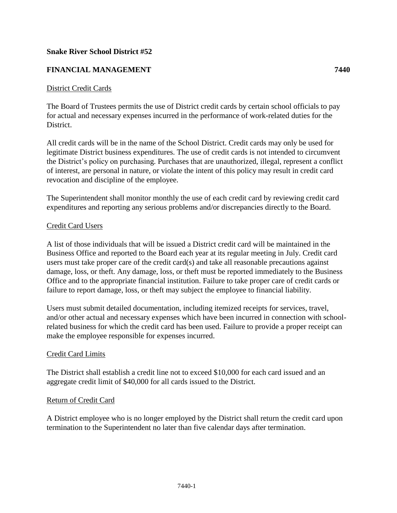## **Snake River School District #52**

# **FINANCIAL MANAGEMENT 7440**

## District Credit Cards

The Board of Trustees permits the use of District credit cards by certain school officials to pay for actual and necessary expenses incurred in the performance of work-related duties for the District.

All credit cards will be in the name of the School District. Credit cards may only be used for legitimate District business expenditures. The use of credit cards is not intended to circumvent the District's policy on purchasing. Purchases that are unauthorized, illegal, represent a conflict of interest, are personal in nature, or violate the intent of this policy may result in credit card revocation and discipline of the employee.

The Superintendent shall monitor monthly the use of each credit card by reviewing credit card expenditures and reporting any serious problems and/or discrepancies directly to the Board.

#### Credit Card Users

A list of those individuals that will be issued a District credit card will be maintained in the Business Office and reported to the Board each year at its regular meeting in July. Credit card users must take proper care of the credit card(s) and take all reasonable precautions against damage, loss, or theft. Any damage, loss, or theft must be reported immediately to the Business Office and to the appropriate financial institution. Failure to take proper care of credit cards or failure to report damage, loss, or theft may subject the employee to financial liability.

Users must submit detailed documentation, including itemized receipts for services, travel, and/or other actual and necessary expenses which have been incurred in connection with schoolrelated business for which the credit card has been used. Failure to provide a proper receipt can make the employee responsible for expenses incurred.

## Credit Card Limits

The District shall establish a credit line not to exceed \$10,000 for each card issued and an aggregate credit limit of \$40,000 for all cards issued to the District.

#### Return of Credit Card

A District employee who is no longer employed by the District shall return the credit card upon termination to the Superintendent no later than five calendar days after termination.